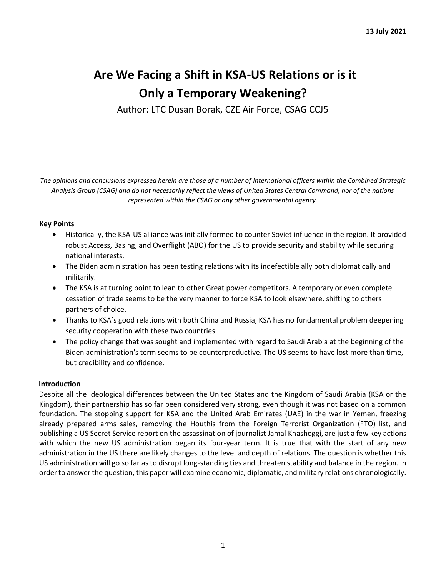# **Are We Facing a Shift in KSA-US Relations or is it Only a Temporary Weakening?**

Author: LTC Dusan Borak, CZE Air Force, CSAG CCJ5

*The opinions and conclusions expressed herein are those of a number of international officers within the Combined Strategic Analysis Group (CSAG) and do not necessarily reflect the views of United States Central Command, nor of the nations represented within the CSAG or any other governmental agency.*

### **Key Points**

- Historically, the KSA-US alliance was initially formed to counter Soviet influence in the region. It provided robust Access, Basing, and Overflight (ABO) for the US to provide security and stability while securing national interests.
- The Biden administration has been testing relations with its indefectible ally both diplomatically and militarily.
- The KSA is at turning point to lean to other Great power competitors. A temporary or even complete cessation of trade seems to be the very manner to force KSA to look elsewhere, shifting to others partners of choice.
- Thanks to KSA's good relations with both China and Russia, KSA has no fundamental problem deepening security cooperation with these two countries.
- The policy change that was sought and implemented with regard to Saudi Arabia at the beginning of the Biden administration's term seems to be counterproductive. The US seems to have lost more than time, but credibility and confidence.

## **Introduction**

Despite all the ideological differences between the United States and the Kingdom of Saudi Arabia (KSA or the Kingdom), their partnership has so far been considered very strong, even though it was not based on a common foundation. The stopping support for KSA and the United Arab Emirates (UAE) in the war in Yemen, freezing already prepared arms sales, removing the Houthis from the Foreign Terrorist Organization (FTO) list, and publishing a US Secret Service report on the assassination of journalist Jamal Khashoggi, are just a few key actions with which the new US administration began its four-year term. It is true that with the start of any new administration in the US there are likely changes to the level and depth of relations. The question is whether this US administration will go so far as to disrupt long-standing ties and threaten stability and balance in the region. In order to answer the question, this paper will examine economic, diplomatic, and military relations chronologically.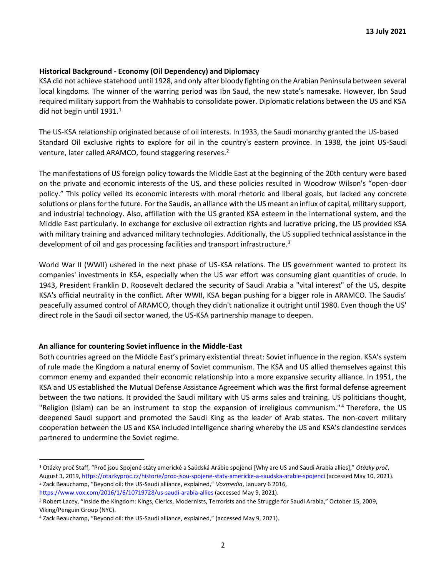#### **Historical Background - Economy (Oil Dependency) and Diplomacy**

KSA did not achieve statehood until 1928, and only after bloody fighting on the Arabian Peninsula between several local kingdoms. The winner of the warring period was Ibn Saud, the new state's namesake. However, Ibn Saud required military support from the Wahhabis to consolidate power. Diplomatic relations between the US and KSA did not begin until 1931. $1$ 

The US-KSA relationship originated because of oil interests. In 1933, the Saudi monarchy granted the US-based Standard Oil exclusive rights to explore for oil in the country's eastern province. In 1938, the joint US-Saudi venture, later called ARAMCO, found staggering reserves.<sup>2</sup>

The manifestations of US foreign policy towards the Middle East at the beginning of the 20th century were based on the private and economic interests of the US, and these policies resulted in Woodrow Wilson's "open-door policy." This policy veiled its economic interests with moral rhetoric and liberal goals, but lacked any concrete solutions or plans for the future. For the Saudis, an alliance with the US meant an influx of capital, military support, and industrial technology. Also, affiliation with the US granted KSA esteem in the international system, and the Middle East particularly. In exchange for exclusive oil extraction rights and lucrative pricing, the US provided KSA with military training and advanced military technologies. Additionally, the US supplied technical assistance in the development of oil and gas processing facilities and transport infrastructure.<sup>3</sup>

World War II (WWII) ushered in the next phase of US-KSA relations. The US government wanted to protect its companies' investments in KSA, especially when the US war effort was consuming giant quantities of crude. In 1943, President Franklin D. Roosevelt declared the security of Saudi Arabia a "vital interest" of the US, despite KSA's official neutrality in the conflict. After WWII, KSA began pushing for a bigger role in ARAMCO. The Saudis' peacefully assumed control of ARAMCO, though they didn't nationalize it outright until 1980. Even though the US' direct role in the Saudi oil sector waned, the US-KSA partnership manage to deepen.

#### **An alliance for countering Soviet influence in the Middle-East**

Both countries agreed on the Middle East's primary existential threat: Soviet influence in the region. KSA's system of rule made the Kingdom a natural enemy of Soviet communism. The KSA and US allied themselves against this common enemy and expanded their economic relationship into a more expansive security alliance. In 1951, the KSA and US established the Mutual Defense Assistance Agreement which was the first formal defense agreement between the two nations. It provided the Saudi military with US arms sales and training. US politicians thought, "Religion (Islam) can be an instrument to stop the expansion of irreligious communism."<sup>4</sup> Therefore, the US deepened Saudi support and promoted the Saudi King as the leader of Arab states. The non-covert military cooperation between the US and KSA included intelligence sharing whereby the US and KSA's clandestine services partnered to undermine the Soviet regime.

<sup>1</sup> Otázky proč Staff, "Proč jsou Spojené státy americké a Saúdská Arábie spojenci [Why are US and Saudi Arabia allies]," *Otázky proč*, August 3, 201[9, https://otazkyproc.cz/historie/proc-jsou-spojene-staty-americke-a-saudska-arabie-spojenci](https://otazkyproc.cz/historie/proc-jsou-spojene-staty-americke-a-saudska-arabie-spojenci) [\(a](https://otazkyproc.cz/historie/proc-jsou-spojene-staty-americke-a-saudska-arabie-spojenci)ccessed May 10, 2021).

<sup>2</sup> Zack Beauchamp, "Beyond oil: the US-Saudi alliance, explained," *Voxmedia*, January 6 2016, <https://www.vox.com/2016/1/6/10719728/us-saudi-arabia-allies> [\(a](https://www.vox.com/2016/1/6/10719728/us-saudi-arabia-allies)ccessed May 9, 2021).

<sup>3</sup> Robert Lacey, "Inside the Kingdom: Kings, Clerics, Modernists, Terrorists and the Struggle for Saudi Arabia," October 15, 2009, Viking/Penguin Group (NYC).

<sup>4</sup> Zack Beauchamp, "Beyond oil: the US-Saudi alliance, explained," (accessed May 9, 2021).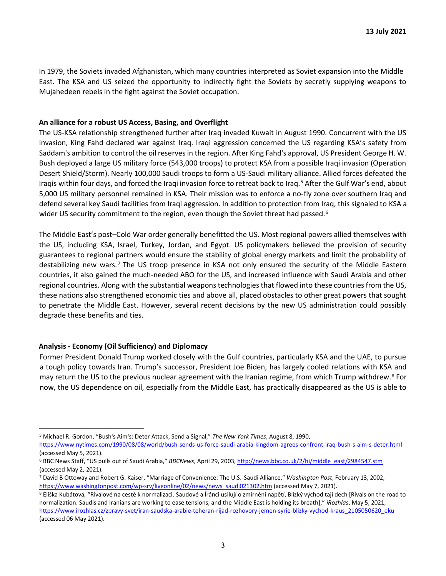In 1979, the Soviets invaded Afghanistan, which many countries interpreted as Soviet expansion into the Middle East. The KSA and US seized the opportunity to indirectly fight the Soviets by secretly supplying weapons to Mujahedeen rebels in the fight against the Soviet occupation.

#### **An alliance for a robust US Access, Basing, and Overflight**

The US-KSA relationship strengthened further after Iraq invaded Kuwait in August 1990. Concurrent with the US invasion, King Fahd declared war against Iraq. Iraqi aggression concerned the US regarding KSA's safety from Saddam's ambition to control the oil reserves in the region. After King Fahd's approval, US President George H. W. Bush deployed a large US military force (543,000 troops) to protect KSA from a possible Iraqi invasion (Operation Desert Shield/Storm). Nearly 100,000 Saudi troops to form a US-Saudi military alliance. Allied forces defeated the Iraqis within four days, and forced the Iraqi invasion force to retreat back to Iraq.<sup>5</sup> After the Gulf War's end, about 5,000 US military personnel remained in KSA. Their mission was to enforce a no-fly zone over southern Iraq and defend several key Saudi facilities from Iraqi aggression. In addition to protection from Iraq, this signaled to KSA a wider US security commitment to the region, even though the Soviet threat had passed.<sup>6</sup>

The Middle East's post–Cold War order generally benefitted the US. Most regional powers allied themselves with the US, including KSA, Israel, Turkey, Jordan, and Egypt. US policymakers believed the provision of security guarantees to regional partners would ensure the stability of global energy markets and limit the probability of destabilizing new wars.<sup>7</sup> The US troop presence in KSA not only ensured the security of the Middle Eastern countries, it also gained the much-needed ABO for the US, and increased influence with Saudi Arabia and other regional countries. Along with the substantial weapons technologies that flowed into these countries from the US, these nations also strengthened economic ties and above all, placed obstacles to other great powers that sought to penetrate the Middle East. However, several recent decisions by the new US administration could possibly degrade these benefits and ties.

#### **Analysis - Economy (Oil Sufficiency) and Diplomacy**

Former President Donald Trump worked closely with the Gulf countries, particularly KSA and the UAE, to pursue a tough policy towards Iran. Trump's successor, President Joe Biden, has largely cooled relations with KSA and may return the US to the previous nuclear agreement with the Iranian regime, from which Trump withdrew.<sup>8</sup> For now, the US dependence on oil, especially from the Middle East, has practically disappeared as the US is able to

<sup>5</sup> Michael R. Gordon, "Bush's Aim's: Deter Attack, Send a Signal," *The New York Times*, August 8, 1990,

<https://www.nytimes.com/1990/08/08/world/bush-sends-us-force-saudi-arabia-kingdom-agrees-confront-iraq-bush-s-aim-s-deter.html> (accessed May 5, 2021).

<sup>6</sup> BBC News Staff, "US pulls out of Saudi Arabia," *BBCNews*, April 29, 200[3, http://news.bbc.co.uk/2/hi/middle\\_east/2984547.stm](http://news.bbc.co.uk/2/hi/middle_east/2984547.stm) (accessed May 2, 2021).

<sup>7</sup> David B Ottoway and Robert G. Kaiser, "Marriage of Convenience: The U.S.-Saudi Alliance," *Washington Post*, February 13, 2002, [https://www.washingtonpost.com/wp-srv/liveonline/02/news/news\\_saudi021302.htm](https://www.washingtonpost.com/wp-srv/liveonline/02/news/news_saudi021302.htm) [\(a](https://www.washingtonpost.com/wp-srv/liveonline/02/news/news_saudi021302.htm)ccessed May 7, 2021).

<sup>8</sup> Eliška Kubátová, "Rivalové na cestě k normalizaci. Saudové a Íránci usilují o zmírnění napětí, Blízký východ tají dech [Rivals on the road to normalization. Saudis and Iranians are working to ease tensions, and the Middle East is holding its breath]," *iRozhlas*, May 5, 2021, [https://www.irozhlas.cz/zpravy-svet/iran-saudska-arabie-teheran-rijad-rozhovory-jemen-syrie-blizky-vychod-kraus\\_2105050620\\_eku](https://www.irozhlas.cz/zpravy-svet/iran-saudska-arabie-teheran-rijad-rozhovory-jemen-syrie-blizky-vychod-kraus_2105050620_eku) (accessed 06 May 2021).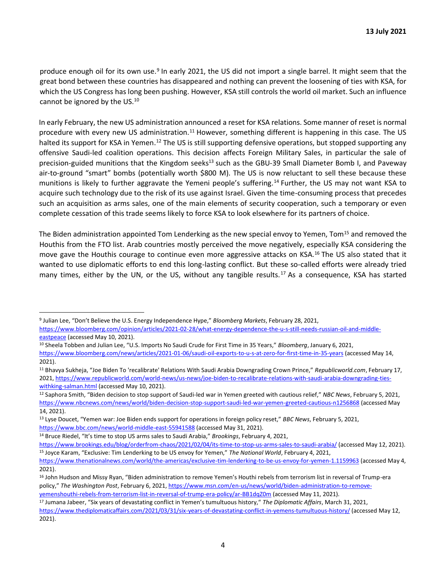produce enough oil for its own use.<sup>9</sup> In early 2021, the US did not import a single barrel. It might seem that the great bond between these countries has disappeared and nothing can prevent the loosening of ties with KSA, for which the US Congress has long been pushing. However, KSA still controls the world oil market. Such an influence cannot be ignored by the US. $^{10}$ 

In early February, the new US administration announced a reset for KSA relations. Some manner of reset is normal procedure with every new US administration.<sup>11</sup> However, something different is happening in this case. The US halted its support for KSA in Yemen.<sup>12</sup> The US is still supporting defensive operations, but stopped supporting any offensive Saudi-led coalition operations. This decision affects Foreign Military Sales, in particular the sale of precision-guided munitions that the Kingdom seeks<sup>13</sup> such as the GBU-39 Small Diameter Bomb I, and Paveway air-to-ground "smart" bombs (potentially worth \$800 M). The US is now reluctant to sell these because these munitions is likely to further aggravate the Yemeni people's suffering.<sup>14</sup> Further, the US may not want KSA to acquire such technology due to the risk of its use against Israel. Given the time-consuming process that precedes such an acquisition as arms sales, one of the main elements of security cooperation, such a temporary or even complete cessation of this trade seems likely to force KSA to look elsewhere for its partners of choice.

The Biden administration appointed Tom Lenderking as the new special envoy to Yemen, Tom<sup>15</sup> and removed the Houthis from the FTO list. Arab countries mostly perceived the move negatively, especially KSA considering the move gave the Houthis courage to continue even more aggressive attacks on KSA.<sup>16</sup> The US also stated that it wanted to use diplomatic efforts to end this long-lasting conflict. But these so-called efforts were already tried many times, either by the UN, or the US, without any tangible results.<sup>17</sup> As a consequence, KSA has started

<sup>10</sup> Sheela Tobben and Julian Lee, "U.S. Imports No Saudi Crude for First Time in 35 Years," *Bloomberg*, January 6, 2021, <https://www.bloomberg.com/news/articles/2021-01-06/saudi-oil-exports-to-u-s-at-zero-for-first-time-in-35-years> [\(a](https://www.bloomberg.com/news/articles/2021-01-06/saudi-oil-exports-to-u-s-at-zero-for-first-time-in-35-years)ccessed May 14, 2021).

[yemenshouthi-rebels-from-terrorism-list-in-reversal-of-trump-era-policy/ar-BB1dqZ0m](https://www.msn.com/en-us/news/world/biden-administration-to-remove-yemens-houthi-rebels-from-terrorism-list-in-reversal-of-trump-era-policy/ar-BB1dqZ0m) [\(a](https://www.msn.com/en-us/news/world/biden-administration-to-remove-yemens-houthi-rebels-from-terrorism-list-in-reversal-of-trump-era-policy/ar-BB1dqZ0m)ccessed May 11, 2021).

<sup>9</sup> Julian Lee, "Don't Believe the U.S. Energy Independence Hype," *Bloomberg Markets*, February 28, 2021,

[https://www.bloomberg.com/opinion/articles/2021-02-28/what-energy-dependence-the-u-s-still-needs-russian-oil-and-middle](https://www.bloomberg.com/opinion/articles/2021-02-28/what-energy-dependence-the-u-s-still-needs-russian-oil-and-middle-east-peace)[eastpeace](https://www.bloomberg.com/opinion/articles/2021-02-28/what-energy-dependence-the-u-s-still-needs-russian-oil-and-middle-east-peace) [\(a](https://www.bloomberg.com/opinion/articles/2021-02-28/what-energy-dependence-the-u-s-still-needs-russian-oil-and-middle-east-peace)ccessed May 10, 2021).

<sup>11</sup> Bhavya Sukheja, "Joe Biden To 'recalibrate' Relations With Saudi Arabia Downgrading Crown Prince," *Republicworld.com*, February 17, 202[1, https://www.republicworld.com/world-news/us-news/joe-biden-to-recalibrate-relations-with-saudi-arabia-downgrading-ties](https://www.republicworld.com/world-news/us-news/joe-biden-to-recalibrate-relations-with-saudi-arabia-downgrading-ties-with-king-salman.html)[withking-salman.html](https://www.republicworld.com/world-news/us-news/joe-biden-to-recalibrate-relations-with-saudi-arabia-downgrading-ties-with-king-salman.html) [\(a](https://www.republicworld.com/world-news/us-news/joe-biden-to-recalibrate-relations-with-saudi-arabia-downgrading-ties-with-king-salman.html)ccessed May 10, 2021).

<sup>12</sup> Saphora Smith, "Biden decision to stop support of Saudi-led war in Yemen greeted with cautious relief," *NBC News*, February 5, 2021, <https://www.nbcnews.com/news/world/biden-decision-stop-support-saudi-led-war-yemen-greeted-cautious-n1256868> [\(a](https://www.nbcnews.com/news/world/biden-decision-stop-support-saudi-led-war-yemen-greeted-cautious-n1256868)ccessed May 14, 2021).

<sup>13</sup> Lyse Doucet, "Yemen war: Joe Biden ends support for operations in foreign policy reset," *BBC News*, February 5, 2021, <https://www.bbc.com/news/world-middle-east-55941588> [\(a](https://www.bbc.com/news/world-middle-east-55941588)ccessed May 31, 2021).

<sup>14</sup> Bruce Riedel, "It's time to stop US arms sales to Saudi Arabia," *Brookings*, February 4, 202[1,](https://www.brookings.edu/blog/order-from-chaos/2021/02/04/its-time-to-stop-us-arms-sales-to-saudi-arabia/) 

[https://www.brookings.edu/blog/orderfrom-chaos/2021/02/04/its-time-to-stop-us-arms-sales-to-saudi-arabia/](https://www.brookings.edu/blog/order-from-chaos/2021/02/04/its-time-to-stop-us-arms-sales-to-saudi-arabia/) [\(a](https://www.brookings.edu/blog/order-from-chaos/2021/02/04/its-time-to-stop-us-arms-sales-to-saudi-arabia/)ccessed May 12, 2021). <sup>15</sup> Joyce Karam, "Exclusive: Tim Lenderking to be US envoy for Yemen," *The National World*, February 4, 2021,

<https://www.thenationalnews.com/world/the-americas/exclusive-tim-lenderking-to-be-us-envoy-for-yemen-1.1159963> [\(a](https://www.thenationalnews.com/world/the-americas/exclusive-tim-lenderking-to-be-us-envoy-for-yemen-1.1159963)ccessed May 4, 2021).

<sup>&</sup>lt;sup>16</sup> John Hudson and Missy Ryan, "Biden administration to remove Yemen's Houthi rebels from terrorism list in reversal of Trump-era policy," *The Washington Post*, February 6, 202[1, https://www.msn.com/en-us/news/world/biden-administration-to-remove-](https://www.msn.com/en-us/news/world/biden-administration-to-remove-yemens-houthi-rebels-from-terrorism-list-in-reversal-of-trump-era-policy/ar-BB1dqZ0m)

<sup>17</sup> Jumana Jabeer, "Six years of devastating conflict in Yemen's tumultuous history," *The Diplomatic Affairs*, March 31, 2021, <https://www.thediplomaticaffairs.com/2021/03/31/six-years-of-devastating-conflict-in-yemens-tumultuous-history/> [\(a](https://www.thediplomaticaffairs.com/2021/03/31/six-years-of-devastating-conflict-in-yemens-tumultuous-history/)ccessed May 12, 2021).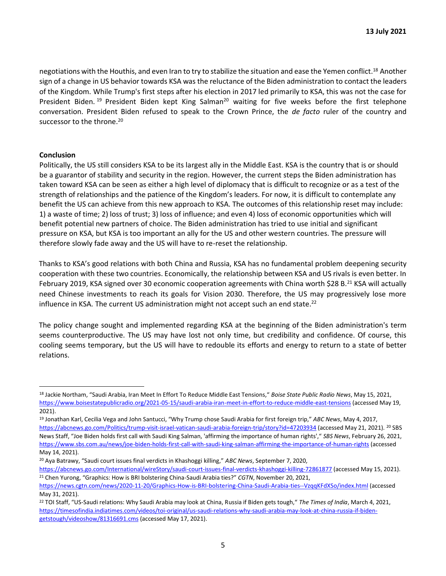negotiations with the Houthis, and even Iran to try to stabilize the situation and ease the Yemen conflict.<sup>18</sup> Another sign of a change in US behavior towards KSA was the reluctance of the Biden administration to contact the leaders of the Kingdom. While Trump's first steps after his election in 2017 led primarily to KSA, this was not the case for President Biden. <sup>19</sup> President Biden kept King Salman<sup>20</sup> waiting for five weeks before the first telephone conversation. President Biden refused to speak to the Crown Prince, the *de facto* ruler of the country and successor to the throne.<sup>20</sup>

#### **Conclusion**

Politically, the US still considers KSA to be its largest ally in the Middle East. KSA is the country that is or should be a guarantor of stability and security in the region. However, the current steps the Biden administration has taken toward KSA can be seen as either a high level of diplomacy that is difficult to recognize or as a test of the strength of relationships and the patience of the Kingdom's leaders. For now, it is difficult to contemplate any benefit the US can achieve from this new approach to KSA. The outcomes of this relationship reset may include: 1) a waste of time; 2) loss of trust; 3) loss of influence; and even 4) loss of economic opportunities which will benefit potential new partners of choice. The Biden administration has tried to use initial and significant pressure on KSA, but KSA is too important an ally for the US and other western countries. The pressure will therefore slowly fade away and the US will have to re-reset the relationship.

Thanks to KSA's good relations with both China and Russia, KSA has no fundamental problem deepening security cooperation with these two countries. Economically, the relationship between KSA and US rivals is even better. In February 2019, KSA signed over 30 economic cooperation agreements with China worth \$28 B.<sup>21</sup> KSA will actually need Chinese investments to reach its goals for Vision 2030. Therefore, the US may progressively lose more influence in KSA. The current US administration might not accept such an end state.<sup>22</sup>

The policy change sought and implemented regarding KSA at the beginning of the Biden administration's term seems counterproductive. The US may have lost not only time, but credibility and confidence. Of course, this cooling seems temporary, but the US will have to redouble its efforts and energy to return to a state of better relations.

<sup>18</sup> Jackie Northam, "Saudi Arabia, Iran Meet In Effort To Reduce Middle East Tensions," *Boise State Public Radio News*, May 15, 2021, <https://www.boisestatepublicradio.org/2021-05-15/saudi-arabia-iran-meet-in-effort-to-reduce-middle-east-tensions> [\(a](https://www.boisestatepublicradio.org/2021-05-15/saudi-arabia-iran-meet-in-effort-to-reduce-middle-east-tensions)ccessed May 19, 2021).

<sup>19</sup> Jonathan Karl, Cecilia Vega and John Santucci, "Why Trump chose Saudi Arabia for first foreign trip," *ABC News*, May 4, 2017, <https://abcnews.go.com/Politics/trump-visit-israel-vatican-saudi-arabia-foreign-trip/story?id=47203934> [\(a](https://abcnews.go.com/Politics/trump-visit-israel-vatican-saudi-arabia-foreign-trip/story?id=47203934)ccessed May 21, 2021). <sup>20</sup> SBS News Staff, "Joe Biden holds first call with Saudi King Salman, 'affirming the importance of human rights'," *SBS News*, February 26, 202[1,](https://www.sbs.com.au/news/joe-biden-holds-first-call-with-saudi-king-salman-affirming-the-importance-of-human-rights)  <https://www.sbs.com.au/news/joe-biden-holds-first-call-with-saudi-king-salman-affirming-the-importance-of-human-rights> (accessed May 14, 2021).

<sup>20</sup> Aya Batrawy, "Saudi court issues final verdicts in Khashoggi killing," *ABC News*, September 7, 2020,

<https://abcnews.go.com/International/wireStory/saudi-court-issues-final-verdicts-khashoggi-killing-72861877> [\(a](https://abcnews.go.com/International/wireStory/saudi-court-issues-final-verdicts-khashoggi-killing-72861877)ccessed May 15, 2021). <sup>21</sup> Chen Yurong, "Graphics: How is BRI bolstering China-Saudi Arabia ties?" *CGTN*, November 20, 2021,

<https://news.cgtn.com/news/2020-11-20/Graphics-How-is-BRI-bolstering-China-Saudi-Arabia-ties--VzqqKFdXSo/index.html> [\(a](https://news.cgtn.com/news/2020-11-20/Graphics-How-is-BRI-bolstering-China-Saudi-Arabia-ties--VzqqKFdXSo/index.html)ccessed May 31, 2021).

<sup>&</sup>lt;sup>22</sup> TOI Staff, "US-Saudi relations: Why Saudi Arabia may look at China, Russia if Biden gets tough," The Times of India, March 4, 2021, [https://timesofindia.indiatimes.com/videos/toi-original/us-saudi-relations-why-saudi-arabia-may-look-at-china-russia-if-biden](https://timesofindia.indiatimes.com/videos/toi-original/us-saudi-relations-why-saudi-arabia-may-look-at-china-russia-if-biden-gets-tough/videoshow/81316691.cms)[getstough/videoshow/81316691.cms](https://timesofindia.indiatimes.com/videos/toi-original/us-saudi-relations-why-saudi-arabia-may-look-at-china-russia-if-biden-gets-tough/videoshow/81316691.cms) [\(a](https://timesofindia.indiatimes.com/videos/toi-original/us-saudi-relations-why-saudi-arabia-may-look-at-china-russia-if-biden-gets-tough/videoshow/81316691.cms)ccessed May 17, 2021).